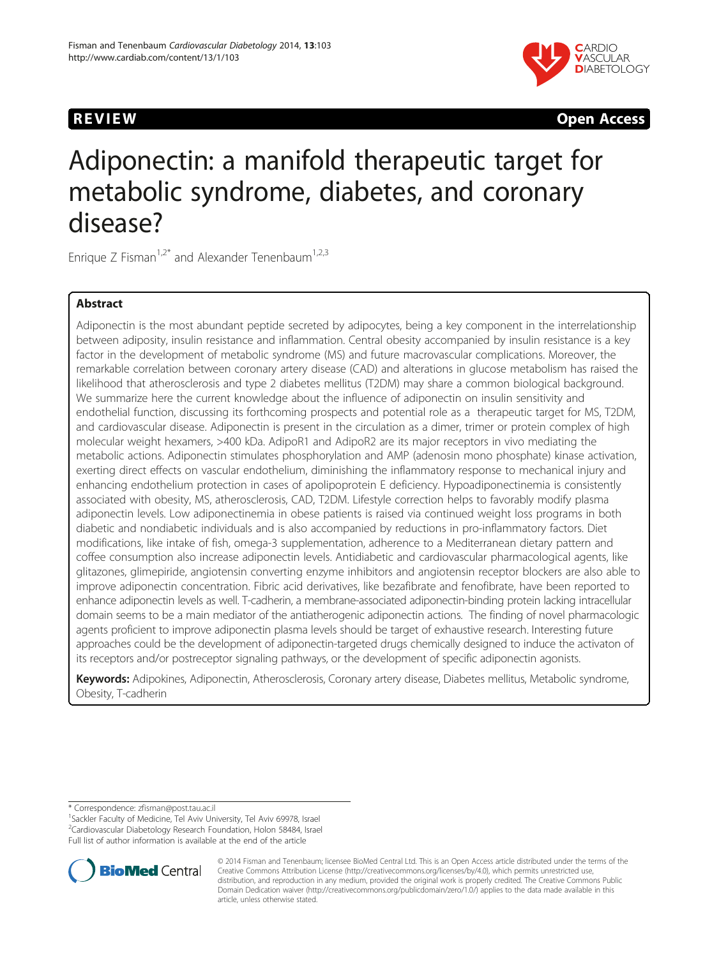

**REVIEW Open Access** 

# Adiponectin: a manifold therapeutic target for metabolic syndrome, diabetes, and coronary disease?

Enrique Z Fisman<sup>1,2\*</sup> and Alexander Tenenbaum<sup>1,2,3</sup>

# Abstract

Adiponectin is the most abundant peptide secreted by adipocytes, being a key component in the interrelationship between adiposity, insulin resistance and inflammation. Central obesity accompanied by insulin resistance is a key factor in the development of metabolic syndrome (MS) and future macrovascular complications. Moreover, the remarkable correlation between coronary artery disease (CAD) and alterations in glucose metabolism has raised the likelihood that atherosclerosis and type 2 diabetes mellitus (T2DM) may share a common biological background. We summarize here the current knowledge about the influence of adiponectin on insulin sensitivity and endothelial function, discussing its forthcoming prospects and potential role as a therapeutic target for MS, T2DM, and cardiovascular disease. Adiponectin is present in the circulation as a dimer, trimer or protein complex of high molecular weight hexamers, >400 kDa. AdipoR1 and AdipoR2 are its major receptors in vivo mediating the metabolic actions. Adiponectin stimulates phosphorylation and AMP (adenosin mono phosphate) kinase activation, exerting direct effects on vascular endothelium, diminishing the inflammatory response to mechanical injury and enhancing endothelium protection in cases of apolipoprotein E deficiency. Hypoadiponectinemia is consistently associated with obesity, MS, atherosclerosis, CAD, T2DM. Lifestyle correction helps to favorably modify plasma adiponectin levels. Low adiponectinemia in obese patients is raised via continued weight loss programs in both diabetic and nondiabetic individuals and is also accompanied by reductions in pro-inflammatory factors. Diet modifications, like intake of fish, omega-3 supplementation, adherence to a Mediterranean dietary pattern and coffee consumption also increase adiponectin levels. Antidiabetic and cardiovascular pharmacological agents, like glitazones, glimepiride, angiotensin converting enzyme inhibitors and angiotensin receptor blockers are also able to improve adiponectin concentration. Fibric acid derivatives, like bezafibrate and fenofibrate, have been reported to enhance adiponectin levels as well. T-cadherin, a membrane-associated adiponectin-binding protein lacking intracellular domain seems to be a main mediator of the antiatherogenic adiponectin actions. The finding of novel pharmacologic agents proficient to improve adiponectin plasma levels should be target of exhaustive research. Interesting future approaches could be the development of adiponectin-targeted drugs chemically designed to induce the activaton of its receptors and/or postreceptor signaling pathways, or the development of specific adiponectin agonists.

Keywords: Adipokines, Adiponectin, Atherosclerosis, Coronary artery disease, Diabetes mellitus, Metabolic syndrome, Obesity, T-cadherin

Full list of author information is available at the end of the article



<sup>© 2014</sup> Fisman and Tenenbaum; licensee BioMed Central Ltd. This is an Open Access article distributed under the terms of the Creative Commons Attribution License (<http://creativecommons.org/licenses/by/4.0>), which permits unrestricted use, distribution, and reproduction in any medium, provided the original work is properly credited. The Creative Commons Public Domain Dedication waiver [\(http://creativecommons.org/publicdomain/zero/1.0/\)](http://creativecommons.org/publicdomain/zero/1.0/) applies to the data made available in this article, unless otherwise stated.

<sup>\*</sup> Correspondence: [zfisman@post.tau.ac.il](mailto:zfisman@post.tau.ac.il) <sup>1</sup>

<sup>&</sup>lt;sup>1</sup>Sackler Faculty of Medicine, Tel Aviv University, Tel Aviv 69978, Israel 2 Cardiovascular Diabetology Research Foundation, Holon 58484, Israel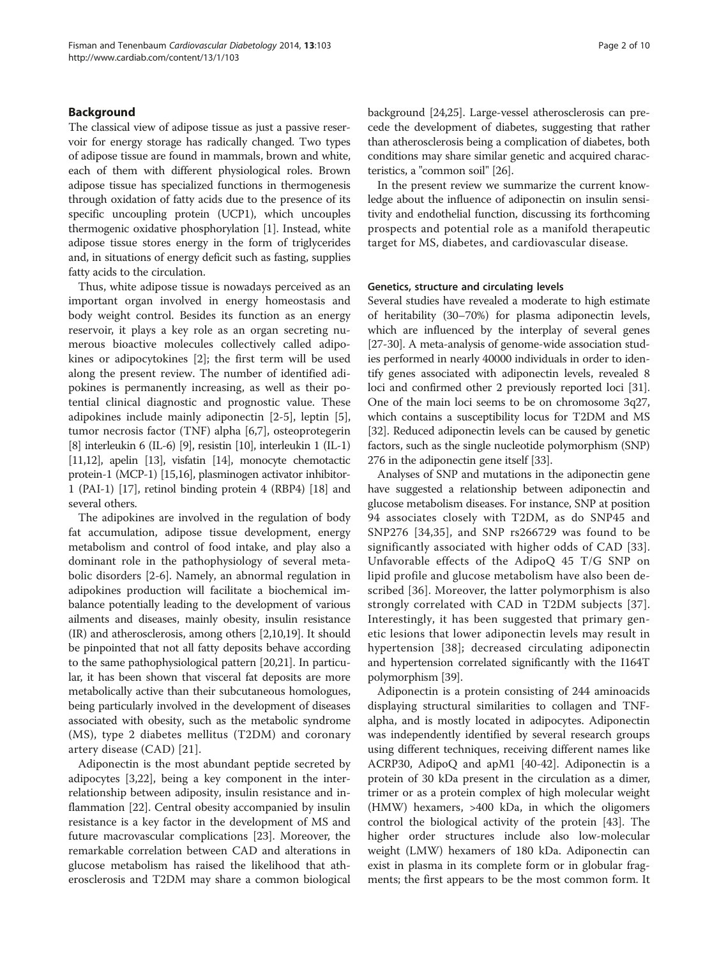# Background

The classical view of adipose tissue as just a passive reservoir for energy storage has radically changed. Two types of adipose tissue are found in mammals, brown and white, each of them with different physiological roles. Brown adipose tissue has specialized functions in thermogenesis through oxidation of fatty acids due to the presence of its specific uncoupling protein (UCP1), which uncouples thermogenic oxidative phosphorylation [\[1\]](#page-5-0). Instead, white adipose tissue stores energy in the form of triglycerides and, in situations of energy deficit such as fasting, supplies fatty acids to the circulation.

Thus, white adipose tissue is nowadays perceived as an important organ involved in energy homeostasis and body weight control. Besides its function as an energy reservoir, it plays a key role as an organ secreting numerous bioactive molecules collectively called adipokines or adipocytokines [\[2](#page-5-0)]; the first term will be used along the present review. The number of identified adipokines is permanently increasing, as well as their potential clinical diagnostic and prognostic value. These adipokines include mainly adiponectin [\[2](#page-5-0)-[5\]](#page-5-0), leptin [\[5](#page-5-0)], tumor necrosis factor (TNF) alpha [\[6,7](#page-5-0)], osteoprotegerin [[8](#page-5-0)] interleukin 6 (IL-6) [\[9](#page-5-0)], resistin [[10](#page-5-0)], interleukin 1 (IL-1) [[11,12\]](#page-5-0), apelin [[13](#page-5-0)], visfatin [\[14](#page-5-0)], monocyte chemotactic protein-1 (MCP-1) [\[15,16\]](#page-5-0), plasminogen activator inhibitor-1 (PAI-1) [\[17\]](#page-5-0), retinol binding protein 4 (RBP4) [\[18](#page-5-0)] and several others.

The adipokines are involved in the regulation of body fat accumulation, adipose tissue development, energy metabolism and control of food intake, and play also a dominant role in the pathophysiology of several metabolic disorders [[2-6](#page-5-0)]. Namely, an abnormal regulation in adipokines production will facilitate a biochemical imbalance potentially leading to the development of various ailments and diseases, mainly obesity, insulin resistance (IR) and atherosclerosis, among others [\[2,10,](#page-5-0)[19](#page-6-0)]. It should be pinpointed that not all fatty deposits behave according to the same pathophysiological pattern [\[20,21\]](#page-6-0). In particular, it has been shown that visceral fat deposits are more metabolically active than their subcutaneous homologues, being particularly involved in the development of diseases associated with obesity, such as the metabolic syndrome (MS), type 2 diabetes mellitus (T2DM) and coronary artery disease (CAD) [[21](#page-6-0)].

Adiponectin is the most abundant peptide secreted by adipocytes [[3,](#page-5-0)[22\]](#page-6-0), being a key component in the interrelationship between adiposity, insulin resistance and inflammation [[22\]](#page-6-0). Central obesity accompanied by insulin resistance is a key factor in the development of MS and future macrovascular complications [[23\]](#page-6-0). Moreover, the remarkable correlation between CAD and alterations in glucose metabolism has raised the likelihood that atherosclerosis and T2DM may share a common biological background [\[24,25](#page-6-0)]. Large-vessel atherosclerosis can precede the development of diabetes, suggesting that rather than atherosclerosis being a complication of diabetes, both conditions may share similar genetic and acquired characteristics, a "common soil" [[26](#page-6-0)].

In the present review we summarize the current knowledge about the influence of adiponectin on insulin sensitivity and endothelial function, discussing its forthcoming prospects and potential role as a manifold therapeutic target for MS, diabetes, and cardiovascular disease.

## Genetics, structure and circulating levels

Several studies have revealed a moderate to high estimate of heritability (30–70%) for plasma adiponectin levels, which are influenced by the interplay of several genes [[27](#page-6-0)-[30\]](#page-6-0). A meta-analysis of genome-wide association studies performed in nearly 40000 individuals in order to identify genes associated with adiponectin levels, revealed 8 loci and confirmed other 2 previously reported loci [[31](#page-6-0)]. One of the main loci seems to be on chromosome 3q27, which contains a susceptibility locus for T2DM and MS [[32](#page-6-0)]. Reduced adiponectin levels can be caused by genetic factors, such as the single nucleotide polymorphism (SNP) 276 in the adiponectin gene itself [\[33\]](#page-6-0).

Analyses of SNP and mutations in the adiponectin gene have suggested a relationship between adiponectin and glucose metabolism diseases. For instance, SNP at position 94 associates closely with T2DM, as do SNP45 and SNP276 [[34,35](#page-6-0)], and SNP rs266729 was found to be significantly associated with higher odds of CAD [[33](#page-6-0)]. Unfavorable effects of the AdipoQ 45 T/G SNP on lipid profile and glucose metabolism have also been described [\[36\]](#page-6-0). Moreover, the latter polymorphism is also strongly correlated with CAD in T2DM subjects [[37](#page-6-0)]. Interestingly, it has been suggested that primary genetic lesions that lower adiponectin levels may result in hypertension [[38](#page-6-0)]; decreased circulating adiponectin and hypertension correlated significantly with the I164T polymorphism [[39](#page-6-0)].

Adiponectin is a protein consisting of 244 aminoacids displaying structural similarities to collagen and TNFalpha, and is mostly located in adipocytes. Adiponectin was independently identified by several research groups using different techniques, receiving different names like ACRP30, AdipoQ and apM1 [[40-42](#page-6-0)]. Adiponectin is a protein of 30 kDa present in the circulation as a dimer, trimer or as a protein complex of high molecular weight (HMW) hexamers, >400 kDa, in which the oligomers control the biological activity of the protein [\[43](#page-6-0)]. The higher order structures include also low-molecular weight (LMW) hexamers of 180 kDa. Adiponectin can exist in plasma in its complete form or in globular fragments; the first appears to be the most common form. It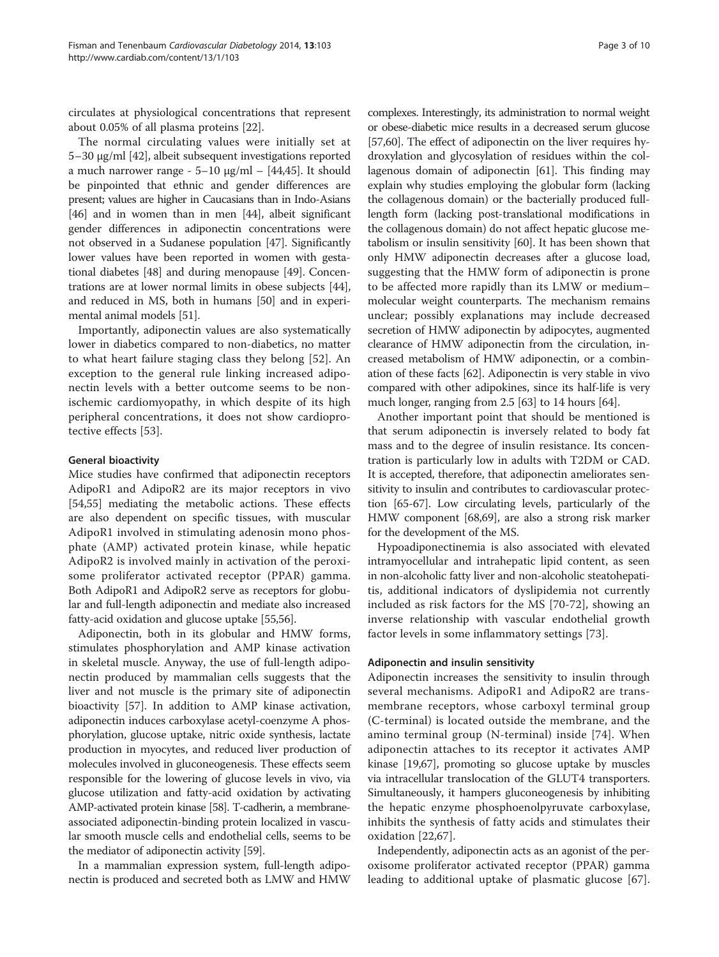circulates at physiological concentrations that represent about 0.05% of all plasma proteins [[22\]](#page-6-0).

The normal circulating values were initially set at 5–30 μg/ml [[42\]](#page-6-0), albeit subsequent investigations reported a much narrower range - 5–10 μg/ml – [[44,45\]](#page-6-0). It should be pinpointed that ethnic and gender differences are present; values are higher in Caucasians than in Indo-Asians [[46](#page-6-0)] and in women than in men [[44](#page-6-0)], albeit significant gender differences in adiponectin concentrations were not observed in a Sudanese population [\[47\]](#page-6-0). Significantly lower values have been reported in women with gestational diabetes [[48](#page-6-0)] and during menopause [[49\]](#page-6-0). Concentrations are at lower normal limits in obese subjects [[44](#page-6-0)], and reduced in MS, both in humans [[50](#page-6-0)] and in experimental animal models [\[51\]](#page-6-0).

Importantly, adiponectin values are also systematically lower in diabetics compared to non-diabetics, no matter to what heart failure staging class they belong [[52](#page-6-0)]. An exception to the general rule linking increased adiponectin levels with a better outcome seems to be nonischemic cardiomyopathy, in which despite of its high peripheral concentrations, it does not show cardioprotective effects [\[53](#page-6-0)].

# General bioactivity

Mice studies have confirmed that adiponectin receptors AdipoR1 and AdipoR2 are its major receptors in vivo [[54,55\]](#page-6-0) mediating the metabolic actions. These effects are also dependent on specific tissues, with muscular AdipoR1 involved in stimulating adenosin mono phosphate (AMP) activated protein kinase, while hepatic AdipoR2 is involved mainly in activation of the peroxisome proliferator activated receptor (PPAR) gamma. Both AdipoR1 and AdipoR2 serve as receptors for globular and full-length adiponectin and mediate also increased fatty-acid oxidation and glucose uptake [\[55,](#page-6-0)[56](#page-7-0)].

Adiponectin, both in its globular and HMW forms, stimulates phosphorylation and AMP kinase activation in skeletal muscle. Anyway, the use of full-length adiponectin produced by mammalian cells suggests that the liver and not muscle is the primary site of adiponectin bioactivity [[57](#page-7-0)]. In addition to AMP kinase activation, adiponectin induces carboxylase acetyl-coenzyme A phosphorylation, glucose uptake, nitric oxide synthesis, lactate production in myocytes, and reduced liver production of molecules involved in gluconeogenesis. These effects seem responsible for the lowering of glucose levels in vivo, via glucose utilization and fatty-acid oxidation by activating AMP-activated protein kinase [\[58](#page-7-0)]. T-cadherin, a membraneassociated adiponectin-binding protein localized in vascular smooth muscle cells and endothelial cells, seems to be the mediator of adiponectin activity [[59](#page-7-0)].

In a mammalian expression system, full-length adiponectin is produced and secreted both as LMW and HMW

complexes. Interestingly, its administration to normal weight or obese-diabetic mice results in a decreased serum glucose [[57](#page-7-0),[60](#page-7-0)]. The effect of adiponectin on the liver requires hydroxylation and glycosylation of residues within the collagenous domain of adiponectin [\[61\]](#page-7-0). This finding may explain why studies employing the globular form (lacking the collagenous domain) or the bacterially produced fulllength form (lacking post-translational modifications in the collagenous domain) do not affect hepatic glucose metabolism or insulin sensitivity [[60](#page-7-0)]. It has been shown that only HMW adiponectin decreases after a glucose load, suggesting that the HMW form of adiponectin is prone to be affected more rapidly than its LMW or medium– molecular weight counterparts. The mechanism remains unclear; possibly explanations may include decreased secretion of HMW adiponectin by adipocytes, augmented clearance of HMW adiponectin from the circulation, increased metabolism of HMW adiponectin, or a combination of these facts [[62](#page-7-0)]. Adiponectin is very stable in vivo compared with other adipokines, since its half-life is very much longer, ranging from 2.5 [\[63\]](#page-7-0) to 14 hours [\[64\]](#page-7-0).

Another important point that should be mentioned is that serum adiponectin is inversely related to body fat mass and to the degree of insulin resistance. Its concentration is particularly low in adults with T2DM or CAD. It is accepted, therefore, that adiponectin ameliorates sensitivity to insulin and contributes to cardiovascular protection [\[65-67\]](#page-7-0). Low circulating levels, particularly of the HMW component [[68,69\]](#page-7-0), are also a strong risk marker for the development of the MS.

Hypoadiponectinemia is also associated with elevated intramyocellular and intrahepatic lipid content, as seen in non-alcoholic fatty liver and non-alcoholic steatohepatitis, additional indicators of dyslipidemia not currently included as risk factors for the MS [\[70](#page-7-0)-[72](#page-7-0)], showing an inverse relationship with vascular endothelial growth factor levels in some inflammatory settings [[73\]](#page-7-0).

# Adiponectin and insulin sensitivity

Adiponectin increases the sensitivity to insulin through several mechanisms. AdipoR1 and AdipoR2 are transmembrane receptors, whose carboxyl terminal group (C-terminal) is located outside the membrane, and the amino terminal group (N-terminal) inside [\[74\]](#page-7-0). When adiponectin attaches to its receptor it activates AMP kinase [\[19,](#page-6-0)[67\]](#page-7-0), promoting so glucose uptake by muscles via intracellular translocation of the GLUT4 transporters. Simultaneously, it hampers gluconeogenesis by inhibiting the hepatic enzyme phosphoenolpyruvate carboxylase, inhibits the synthesis of fatty acids and stimulates their oxidation [[22,](#page-6-0)[67](#page-7-0)].

Independently, adiponectin acts as an agonist of the peroxisome proliferator activated receptor (PPAR) gamma leading to additional uptake of plasmatic glucose [\[67](#page-7-0)].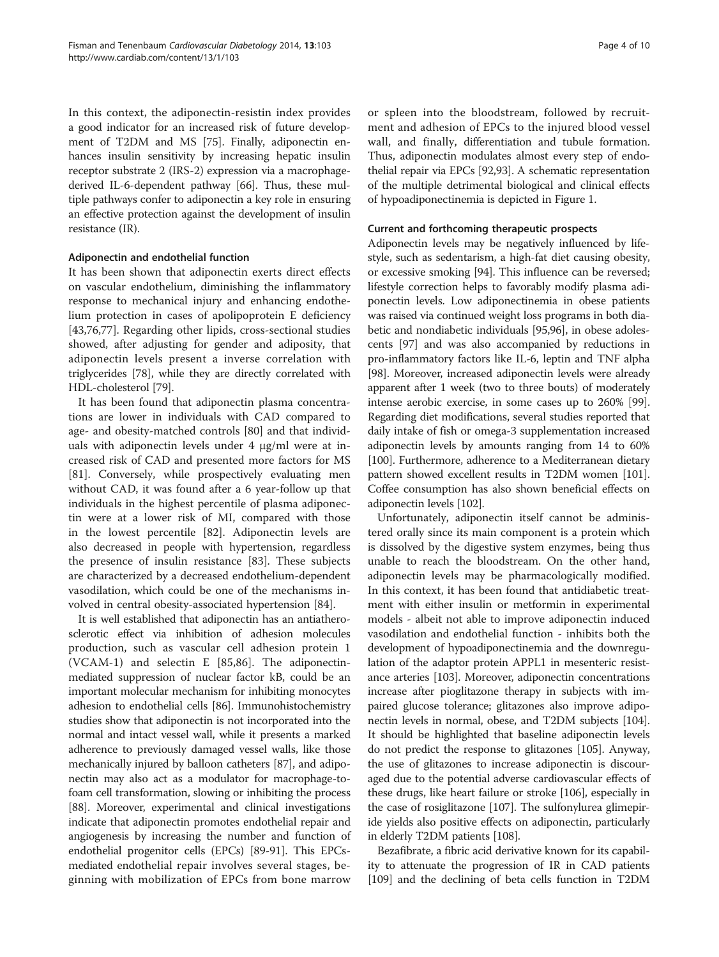In this context, the adiponectin-resistin index provides a good indicator for an increased risk of future development of T2DM and MS [\[75\]](#page-7-0). Finally, adiponectin enhances insulin sensitivity by increasing hepatic insulin receptor substrate 2 (IRS-2) expression via a macrophagederived IL-6-dependent pathway [[66](#page-7-0)]. Thus, these multiple pathways confer to adiponectin a key role in ensuring an effective protection against the development of insulin resistance (IR).

# Adiponectin and endothelial function

It has been shown that adiponectin exerts direct effects on vascular endothelium, diminishing the inflammatory response to mechanical injury and enhancing endothelium protection in cases of apolipoprotein E deficiency [[43,](#page-6-0)[76,77\]](#page-7-0). Regarding other lipids, cross-sectional studies showed, after adjusting for gender and adiposity, that adiponectin levels present a inverse correlation with triglycerides [\[78](#page-7-0)], while they are directly correlated with HDL-cholesterol [\[79](#page-7-0)].

It has been found that adiponectin plasma concentrations are lower in individuals with CAD compared to age- and obesity-matched controls [\[80](#page-7-0)] and that individuals with adiponectin levels under 4 μg/ml were at increased risk of CAD and presented more factors for MS [[81\]](#page-7-0). Conversely, while prospectively evaluating men without CAD, it was found after a 6 year-follow up that individuals in the highest percentile of plasma adiponectin were at a lower risk of MI, compared with those in the lowest percentile [[82](#page-7-0)]. Adiponectin levels are also decreased in people with hypertension, regardless the presence of insulin resistance [[83](#page-7-0)]. These subjects are characterized by a decreased endothelium-dependent vasodilation, which could be one of the mechanisms involved in central obesity-associated hypertension [\[84\]](#page-7-0).

It is well established that adiponectin has an antiatherosclerotic effect via inhibition of adhesion molecules production, such as vascular cell adhesion protein 1 (VCAM-1) and selectin E [\[85,86](#page-7-0)]. The adiponectinmediated suppression of nuclear factor kB, could be an important molecular mechanism for inhibiting monocytes adhesion to endothelial cells [[86](#page-7-0)]. Immunohistochemistry studies show that adiponectin is not incorporated into the normal and intact vessel wall, while it presents a marked adherence to previously damaged vessel walls, like those mechanically injured by balloon catheters [[87](#page-7-0)], and adiponectin may also act as a modulator for macrophage-tofoam cell transformation, slowing or inhibiting the process [[88](#page-7-0)]. Moreover, experimental and clinical investigations indicate that adiponectin promotes endothelial repair and angiogenesis by increasing the number and function of endothelial progenitor cells (EPCs) [\[89-91](#page-7-0)]. This EPCsmediated endothelial repair involves several stages, beginning with mobilization of EPCs from bone marrow

or spleen into the bloodstream, followed by recruitment and adhesion of EPCs to the injured blood vessel wall, and finally, differentiation and tubule formation. Thus, adiponectin modulates almost every step of endothelial repair via EPCs [\[92](#page-7-0)[,93\]](#page-8-0). A schematic representation of the multiple detrimental biological and clinical effects of hypoadiponectinemia is depicted in Figure [1](#page-4-0).

# Current and forthcoming therapeutic prospects

Adiponectin levels may be negatively influenced by lifestyle, such as sedentarism, a high-fat diet causing obesity, or excessive smoking [[94](#page-8-0)]. This influence can be reversed; lifestyle correction helps to favorably modify plasma adiponectin levels. Low adiponectinemia in obese patients was raised via continued weight loss programs in both diabetic and nondiabetic individuals [\[95,96](#page-8-0)], in obese adolescents [[97](#page-8-0)] and was also accompanied by reductions in pro-inflammatory factors like IL-6, leptin and TNF alpha [[98](#page-8-0)]. Moreover, increased adiponectin levels were already apparent after 1 week (two to three bouts) of moderately intense aerobic exercise, in some cases up to 260% [[99](#page-8-0)]. Regarding diet modifications, several studies reported that daily intake of fish or omega-3 supplementation increased adiponectin levels by amounts ranging from 14 to 60% [[100](#page-8-0)]. Furthermore, adherence to a Mediterranean dietary pattern showed excellent results in T2DM women [[101](#page-8-0)]. Coffee consumption has also shown beneficial effects on adiponectin levels [[102](#page-8-0)].

Unfortunately, adiponectin itself cannot be administered orally since its main component is a protein which is dissolved by the digestive system enzymes, being thus unable to reach the bloodstream. On the other hand, adiponectin levels may be pharmacologically modified. In this context, it has been found that antidiabetic treatment with either insulin or metformin in experimental models - albeit not able to improve adiponectin induced vasodilation and endothelial function - inhibits both the development of hypoadiponectinemia and the downregulation of the adaptor protein APPL1 in mesenteric resistance arteries [\[103\]](#page-8-0). Moreover, adiponectin concentrations increase after pioglitazone therapy in subjects with impaired glucose tolerance; glitazones also improve adiponectin levels in normal, obese, and T2DM subjects [[104](#page-8-0)]. It should be highlighted that baseline adiponectin levels do not predict the response to glitazones [\[105\]](#page-8-0). Anyway, the use of glitazones to increase adiponectin is discouraged due to the potential adverse cardiovascular effects of these drugs, like heart failure or stroke [\[106\]](#page-8-0), especially in the case of rosiglitazone [\[107\]](#page-8-0). The sulfonylurea glimepiride yields also positive effects on adiponectin, particularly in elderly T2DM patients [[108](#page-8-0)].

Bezafibrate, a fibric acid derivative known for its capability to attenuate the progression of IR in CAD patients [[109](#page-8-0)] and the declining of beta cells function in T2DM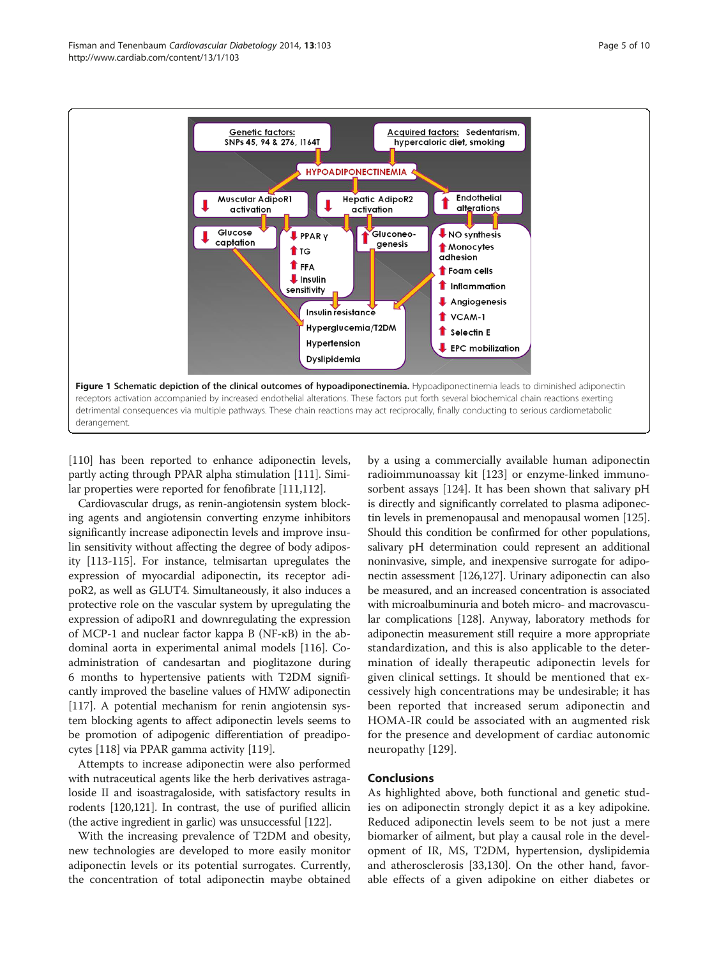<span id="page-4-0"></span>

[[110](#page-8-0)] has been reported to enhance adiponectin levels, partly acting through PPAR alpha stimulation [[111](#page-8-0)]. Similar properties were reported for fenofibrate [[111,112\]](#page-8-0).

Cardiovascular drugs, as renin-angiotensin system blocking agents and angiotensin converting enzyme inhibitors significantly increase adiponectin levels and improve insulin sensitivity without affecting the degree of body adiposity [[113](#page-8-0)-[115](#page-8-0)]. For instance, telmisartan upregulates the expression of myocardial adiponectin, its receptor adipoR2, as well as GLUT4. Simultaneously, it also induces a protective role on the vascular system by upregulating the expression of adipoR1 and downregulating the expression of MCP-1 and nuclear factor kappa B (NF-κB) in the abdominal aorta in experimental animal models [[116](#page-8-0)]. Coadministration of candesartan and pioglitazone during 6 months to hypertensive patients with T2DM significantly improved the baseline values of HMW adiponectin [[117](#page-8-0)]. A potential mechanism for renin angiotensin system blocking agents to affect adiponectin levels seems to be promotion of adipogenic differentiation of preadipocytes [\[118\]](#page-8-0) via PPAR gamma activity [\[119\]](#page-8-0).

Attempts to increase adiponectin were also performed with nutraceutical agents like the herb derivatives astragaloside II and isoastragaloside, with satisfactory results in rodents [\[120,121](#page-8-0)]. In contrast, the use of purified allicin (the active ingredient in garlic) was unsuccessful [\[122\]](#page-8-0).

With the increasing prevalence of T2DM and obesity, new technologies are developed to more easily monitor adiponectin levels or its potential surrogates. Currently, the concentration of total adiponectin maybe obtained

by a using a commercially available human adiponectin radioimmunoassay kit [[123](#page-8-0)] or enzyme-linked immunosorbent assays [[124\]](#page-8-0). It has been shown that salivary pH is directly and significantly correlated to plasma adiponectin levels in premenopausal and menopausal women [\[125](#page-8-0)]. Should this condition be confirmed for other populations, salivary pH determination could represent an additional noninvasive, simple, and inexpensive surrogate for adiponectin assessment [\[126](#page-8-0),[127\]](#page-8-0). Urinary adiponectin can also be measured, and an increased concentration is associated with microalbuminuria and boteh micro- and macrovascular complications [\[128](#page-8-0)]. Anyway, laboratory methods for adiponectin measurement still require a more appropriate standardization, and this is also applicable to the determination of ideally therapeutic adiponectin levels for given clinical settings. It should be mentioned that excessively high concentrations may be undesirable; it has been reported that increased serum adiponectin and HOMA-IR could be associated with an augmented risk for the presence and development of cardiac autonomic neuropathy [[129\]](#page-8-0).

# Conclusions

As highlighted above, both functional and genetic studies on adiponectin strongly depict it as a key adipokine. Reduced adiponectin levels seem to be not just a mere biomarker of ailment, but play a causal role in the development of IR, MS, T2DM, hypertension, dyslipidemia and atherosclerosis [[33](#page-6-0)[,130](#page-8-0)]. On the other hand, favorable effects of a given adipokine on either diabetes or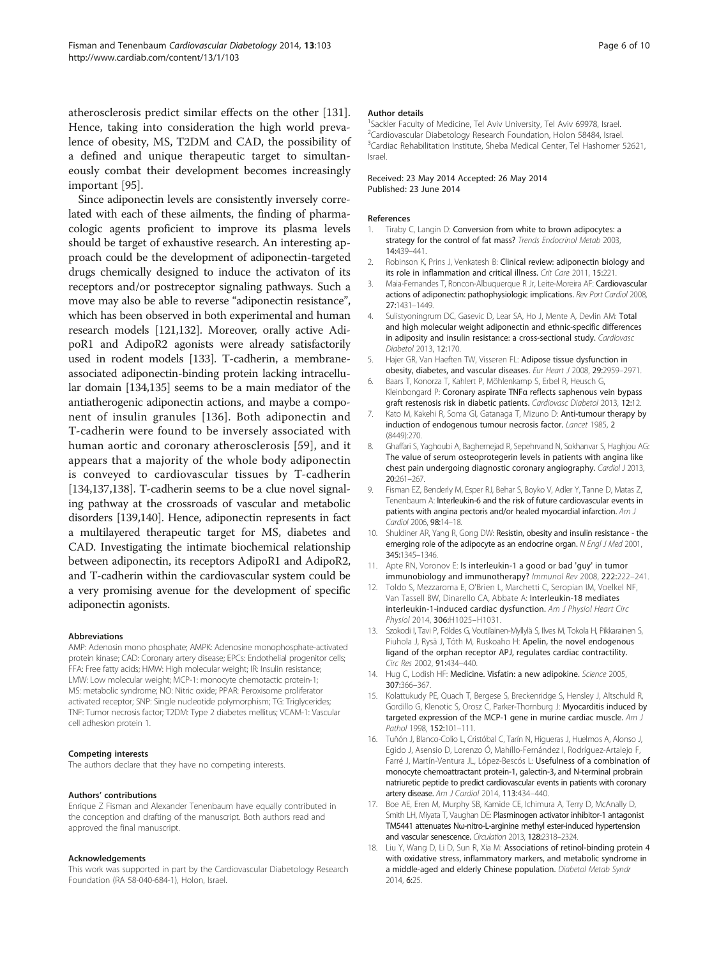<span id="page-5-0"></span>atherosclerosis predict similar effects on the other [\[131](#page-8-0)]. Hence, taking into consideration the high world prevalence of obesity, MS, T2DM and CAD, the possibility of a defined and unique therapeutic target to simultaneously combat their development becomes increasingly important [[95](#page-8-0)].

Since adiponectin levels are consistently inversely correlated with each of these ailments, the finding of pharmacologic agents proficient to improve its plasma levels should be target of exhaustive research. An interesting approach could be the development of adiponectin-targeted drugs chemically designed to induce the activaton of its receptors and/or postreceptor signaling pathways. Such a move may also be able to reverse "adiponectin resistance", which has been observed in both experimental and human research models [\[121](#page-8-0)[,132](#page-9-0)]. Moreover, orally active AdipoR1 and AdipoR2 agonists were already satisfactorily used in rodent models [[133](#page-9-0)]. T-cadherin, a membraneassociated adiponectin-binding protein lacking intracellular domain [\[134,135](#page-9-0)] seems to be a main mediator of the antiatherogenic adiponectin actions, and maybe a component of insulin granules [\[136\]](#page-9-0). Both adiponectin and T-cadherin were found to be inversely associated with human aortic and coronary atherosclerosis [[59\]](#page-7-0), and it appears that a majority of the whole body adiponectin is conveyed to cardiovascular tissues by T-cadherin [[134,137,138](#page-9-0)]. T-cadherin seems to be a clue novel signaling pathway at the crossroads of vascular and metabolic disorders [[139,140\]](#page-9-0). Hence, adiponectin represents in fact a multilayered therapeutic target for MS, diabetes and CAD. Investigating the intimate biochemical relationship between adiponectin, its receptors AdipoR1 and AdipoR2, and T-cadherin within the cardiovascular system could be a very promising avenue for the development of specific adiponectin agonists.

#### Abbreviations

AMP: Adenosin mono phosphate; AMPK: Adenosine monophosphate-activated protein kinase; CAD: Coronary artery disease; EPCs: Endothelial progenitor cells; FFA: Free fatty acids; HMW: High molecular weight; IR: Insulin resistance; LMW: Low molecular weight; MCP-1: monocyte chemotactic protein-1; MS: metabolic syndrome; NO: Nitric oxide; PPAR: Peroxisome proliferator activated receptor; SNP: Single nucleotide polymorphism; TG: Triglycerides; TNF: Tumor necrosis factor; T2DM: Type 2 diabetes mellitus; VCAM-1: Vascular cell adhesion protein 1.

#### Competing interests

The authors declare that they have no competing interests.

#### Authors' contributions

Enrique Z Fisman and Alexander Tenenbaum have equally contributed in the conception and drafting of the manuscript. Both authors read and approved the final manuscript.

#### Acknowledgements

This work was supported in part by the Cardiovascular Diabetology Research Foundation (RA 58-040-684-1), Holon, Israel.

#### Author details

<sup>1</sup>Sackler Faculty of Medicine, Tel Aviv University, Tel Aviv 69978, Israel. <sup>2</sup>Cardiovascular Diabetology Research Foundation, Holon 58484, Israel. <sup>3</sup>Cardiac Rehabilitation Institute, Sheba Medical Center, Tel Hashomer 52621 Israel.

### Received: 23 May 2014 Accepted: 26 May 2014 Published: 23 June 2014

#### References

- 1. Tiraby C, Langin D: Conversion from white to brown adipocytes: a strategy for the control of fat mass? Trends Endocrinol Metab 2003, 14:439–441.
- 2. Robinson K, Prins J, Venkatesh B: Clinical review: adiponectin biology and its role in inflammation and critical illness. Crit Care 2011, 15:221.
- 3. Maia-Fernandes T, Roncon-Albuquerque R Jr, Leite-Moreira AF: Cardiovascular actions of adiponectin: pathophysiologic implications. Rev Port Cardiol 2008, 27:1431–1449.
- 4. Sulistyoningrum DC, Gasevic D, Lear SA, Ho J, Mente A, Devlin AM: Total and high molecular weight adiponectin and ethnic-specific differences in adiposity and insulin resistance: a cross-sectional study. Cardiovasc Diabetol 2013, 12:170.
- 5. Hajer GR, Van Haeften TW, Visseren FL: Adipose tissue dysfunction in obesity, diabetes, and vascular diseases. Eur Heart J 2008, 29:2959–2971.
- 6. Baars T, Konorza T, Kahlert P, Möhlenkamp S, Erbel R, Heusch G, Kleinbongard P: Coronary aspirate TNFα reflects saphenous vein bypass graft restenosis risk in diabetic patients. Cardiovasc Diabetol 2013, 12:12.
- 7. Kato M, Kakehi R, Soma GI, Gatanaga T, Mizuno D: Anti-tumour therapy by induction of endogenous tumour necrosis factor. Lancet 1985, 2 (8449):270.
- 8. Ghaffari S, Yaghoubi A, Baghernejad R, Sepehrvand N, Sokhanvar S, Haghjou AG: The value of serum osteoprotegerin levels in patients with angina like chest pain undergoing diagnostic coronary angiography. Cardiol J 2013, 20:261–267.
- 9. Fisman EZ, Benderly M, Esper RJ, Behar S, Boyko V, Adler Y, Tanne D, Matas Z, Tenenbaum A: Interleukin-6 and the risk of future cardiovascular events in patients with angina pectoris and/or healed myocardial infarction. Am J Cardiol 2006, 98:14–18.
- 10. Shuldiner AR, Yang R, Gong DW: Resistin, obesity and insulin resistance the emerging role of the adipocyte as an endocrine organ. N Engl J Med 2001, 345:1345–1346.
- 11. Apte RN, Voronov E: Is interleukin-1 a good or bad 'guy' in tumor immunobiology and immunotherapy? Immunol Rev 2008, 222:222–241.
- 12. Toldo S, Mezzaroma E, O'Brien L, Marchetti C, Seropian IM, Voelkel NF, Van Tassell BW, Dinarello CA, Abbate A: Interleukin-18 mediates interleukin-1-induced cardiac dysfunction. Am J Physiol Heart Circ Physiol 2014, 306:H1025–H1031.
- 13. Szokodi I, Tavi P, Földes G, Voutilainen-Myllylä S, Ilves M, Tokola H, Pikkarainen S, Piuhola J, Rysä J, Tóth M, Ruskoaho H: Apelin, the novel endogenous ligand of the orphan receptor APJ, regulates cardiac contractility. Circ Res 2002, 91:434–440.
- 14. Hug C, Lodish HF: Medicine. Visfatin: a new adipokine. Science 2005, 307:366–367.
- 15. Kolattukudy PE, Quach T, Bergese S, Breckenridge S, Hensley J, Altschuld R, Gordillo G, Klenotic S, Orosz C, Parker-Thornburg J: Myocarditis induced by targeted expression of the MCP-1 gene in murine cardiac muscle. Am J Pathol 1998, 152:101–111.
- 16. Tuñón J, Blanco-Colio L, Cristóbal C, Tarín N, Higueras J, Huelmos A, Alonso J, Egido J, Asensio D, Lorenzo Ó, Mahíllo-Fernández I, Rodríguez-Artalejo F, Farré J, Martín-Ventura JL, López-Bescós L: Usefulness of a combination of monocyte chemoattractant protein-1, galectin-3, and N-terminal probrain natriuretic peptide to predict cardiovascular events in patients with coronary artery disease. Am J Cardiol 2014, 113:434–440.
- 17. Boe AE, Eren M, Murphy SB, Kamide CE, Ichimura A, Terry D, McAnally D, Smith LH, Miyata T, Vaughan DE: Plasminogen activator inhibitor-1 antagonist TM5441 attenuates Nω-nitro-L-arginine methyl ester-induced hypertension and vascular senescence. Circulation 2013, 128:2318–2324.
- 18. Liu Y, Wang D, Li D, Sun R, Xia M: Associations of retinol-binding protein 4 with oxidative stress, inflammatory markers, and metabolic syndrome in a middle-aged and elderly Chinese population. Diabetol Metab Syndr 2014, 6:25.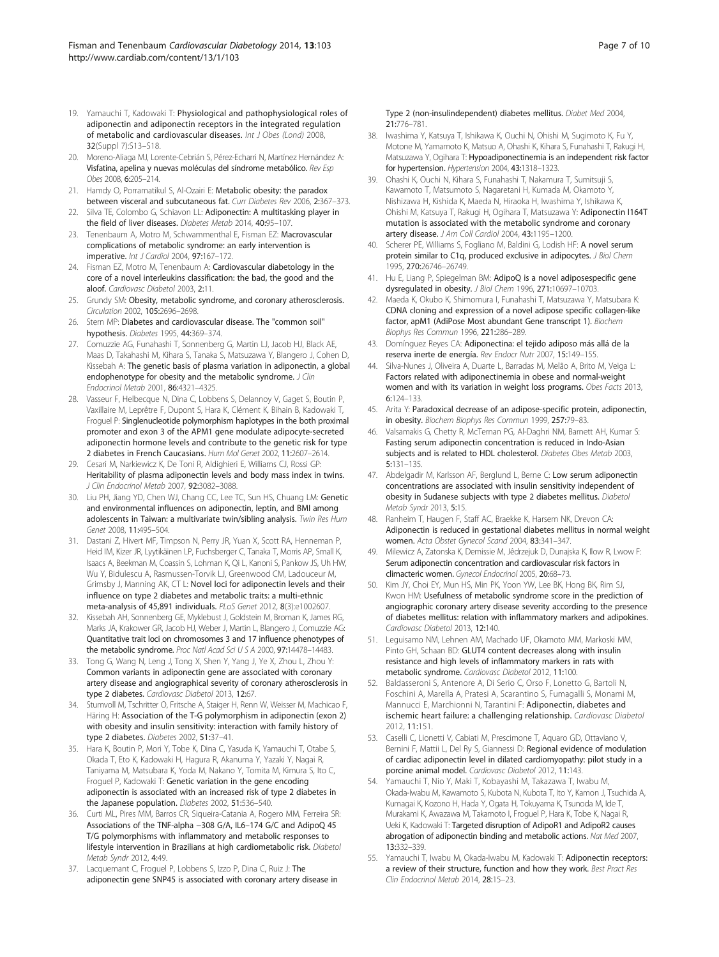- <span id="page-6-0"></span>19. Yamauchi T, Kadowaki T: Physiological and pathophysiological roles of adiponectin and adiponectin receptors in the integrated regulation of metabolic and cardiovascular diseases. Int J Obes (Lond) 2008, 32(Suppl 7):S13–S18.
- 20. Moreno-Aliaga MJ, Lorente-Cebrián S, Pérez-Echarri N, Martínez Hernández A: Visfatina, apelina y nuevas moléculas del síndrome metabólico. Rev Esp Obes 2008, 6:205–214.
- 21. Hamdy O, Porramatikul S, Al-Ozairi E: Metabolic obesity: the paradox between visceral and subcutaneous fat. Curr Diabetes Rev 2006, 2:367–373.
- 22. Silva TE, Colombo G, Schiavon LL: Adiponectin: A multitasking player in the field of liver diseases. Diabetes Metab 2014, 40:95–107.
- 23. Tenenbaum A, Motro M, Schwammenthal E, Fisman EZ: Macrovascular complications of metabolic syndrome: an early intervention is imperative. Int J Cardiol 2004, 97:167–172.
- 24. Fisman EZ, Motro M, Tenenbaum A: Cardiovascular diabetology in the core of a novel interleukins classification: the bad, the good and the aloof. Cardiovasc Diabetol 2003, 2:11.
- 25. Grundy SM: Obesity, metabolic syndrome, and coronary atherosclerosis. Circulation 2002, 105:2696–2698.
- 26. Stern MP: Diabetes and cardiovascular disease. The "common soil" hypothesis. Diabetes 1995, 44:369–374.
- 27. Comuzzie AG, Funahashi T, Sonnenberg G, Martin LJ, Jacob HJ, Black AE, Maas D, Takahashi M, Kihara S, Tanaka S, Matsuzawa Y, Blangero J, Cohen D, Kissebah A: The genetic basis of plasma variation in adiponectin, a global endophenotype for obesity and the metabolic syndrome. *J Clin* Endocrinol Metab 2001, 86:4321–4325.
- 28. Vasseur F, Helbecque N, Dina C, Lobbens S, Delannoy V, Gaget S, Boutin P, Vaxillaire M, Leprêtre F, Dupont S, Hara K, Clément K, Bihain B, Kadowaki T, Froguel P: Singlenucleotide polymorphism haplotypes in the both proximal promoter and exon 3 of the APM1 gene modulate adipocyte-secreted adiponectin hormone levels and contribute to the genetic risk for type 2 diabetes in French Caucasians. Hum Mol Genet 2002, 11:2607–2614.
- 29. Cesari M, Narkiewicz K, De Toni R, Aldighieri E, Williams CJ, Rossi GP: Heritability of plasma adiponectin levels and body mass index in twins. J Clin Endocrinol Metab 2007, 92:3082–3088.
- 30. Liu PH, Jiang YD, Chen WJ, Chang CC, Lee TC, Sun HS, Chuang LM: Genetic and environmental influences on adiponectin, leptin, and BMI among adolescents in Taiwan: a multivariate twin/sibling analysis. Twin Res Hum Genet 2008, 11:495–504.
- 31. Dastani Z, Hivert MF, Timpson N, Perry JR, Yuan X, Scott RA, Henneman P, Heid IM, Kizer JR, Lyytikäinen LP, Fuchsberger C, Tanaka T, Morris AP, Small K, Isaacs A, Beekman M, Coassin S, Lohman K, Qi L, Kanoni S, Pankow JS, Uh HW, Wu Y, Bidulescu A, Rasmussen-Torvik LJ, Greenwood CM, Ladouceur M, Grimsby J, Manning AK, CT L: Novel loci for adiponectin levels and their influence on type 2 diabetes and metabolic traits: a multi-ethnic meta-analysis of 45,891 individuals. PLoS Genet 2012, 8(3):e1002607.
- 32. Kissebah AH, Sonnenberg GE, Myklebust J, Goldstein M, Broman K, James RG, Marks JA, Krakower GR, Jacob HJ, Weber J, Martin L, Blangero J, Comuzzie AG: Quantitative trait loci on chromosomes 3 and 17 influence phenotypes of the metabolic syndrome. Proc Natl Acad Sci U S A 2000, 97:14478-14483.
- 33. Tong G, Wang N, Leng J, Tong X, Shen Y, Yang J, Ye X, Zhou L, Zhou Y: Common variants in adiponectin gene are associated with coronary artery disease and angiographical severity of coronary atherosclerosis in type 2 diabetes. Cardiovasc Diabetol 2013, 12:67.
- 34. Stumvoll M, Tschritter O, Fritsche A, Staiger H, Renn W, Weisser M, Machicao F, Häring H: Association of the T-G polymorphism in adiponectin (exon 2) with obesity and insulin sensitivity: interaction with family history of type 2 diabetes. Diabetes 2002, 51:37–41.
- 35. Hara K, Boutin P, Mori Y, Tobe K, Dina C, Yasuda K, Yamauchi T, Otabe S, Okada T, Eto K, Kadowaki H, Hagura R, Akanuma Y, Yazaki Y, Nagai R, Taniyama M, Matsubara K, Yoda M, Nakano Y, Tomita M, Kimura S, Ito C, Froguel P, Kadowaki T: Genetic variation in the gene encoding adiponectin is associated with an increased risk of type 2 diabetes in the Japanese population. Diabetes 2002, 51:536–540.
- 36. Curti ML, Pires MM, Barros CR, Siqueira-Catania A, Rogero MM, Ferreira SR: Associations of the TNF-alpha −308 G/A, IL6–174 G/C and AdipoQ 45 T/G polymorphisms with inflammatory and metabolic responses to lifestyle intervention in Brazilians at high cardiometabolic risk. Diabetol Metab Syndr 2012, 4:49.
- 37. Lacquemant C, Froguel P, Lobbens S, Izzo P, Dina C, Ruiz J: The adiponectin gene SNP45 is associated with coronary artery disease in

Type 2 (non-insulindependent) diabetes mellitus. Diabet Med 2004, 21:776–781.

- 38. Iwashima Y, Katsuya T, Ishikawa K, Ouchi N, Ohishi M, Sugimoto K, Fu Y, Motone M, Yamamoto K, Matsuo A, Ohashi K, Kihara S, Funahashi T, Rakugi H, Matsuzawa Y, Ogihara T: Hypoadiponectinemia is an independent risk factor for hypertension. Hypertension 2004, 43:1318–1323.
- 39. Ohashi K, Ouchi N, Kihara S, Funahashi T, Nakamura T, Sumitsuji S, Kawamoto T, Matsumoto S, Nagaretani H, Kumada M, Okamoto Y, Nishizawa H, Kishida K, Maeda N, Hiraoka H, Iwashima Y, Ishikawa K, Ohishi M, Katsuya T, Rakugi H, Ogihara T, Matsuzawa Y: Adiponectin I164T mutation is associated with the metabolic syndrome and coronary artery disease. J Am Coll Cardiol 2004, 43:1195–1200.
- 40. Scherer PE, Williams S, Fogliano M, Baldini G, Lodish HF: A novel serum protein similar to C1q, produced exclusive in adipocytes. *J Biol Chem* 1995, 270:26746–26749.
- 41. Hu E, Liang P, Spiegelman BM: AdipoQ is a novel adiposespecific gene dysregulated in obesity. J Biol Chem 1996, 271:10697-10703.
- 42. Maeda K, Okubo K, Shimomura I, Funahashi T, Matsuzawa Y, Matsubara K: CDNA cloning and expression of a novel adipose specific collagen-like factor, apM1 (AdiPose Most abundant Gene transcript 1). Biochem Biophys Res Commun 1996, 221:286–289.
- 43. Domínguez Reyes CA: Adiponectina: el tejido adiposo más allá de la reserva inerte de energía. Rev Endocr Nutr 2007, 15:149–155.
- 44. Silva-Nunes J, Oliveira A, Duarte L, Barradas M, Melão A, Brito M, Veiga L: Factors related with adiponectinemia in obese and normal-weight women and with its variation in weight loss programs. Obes Facts 2013, 6:124–133.
- 45. Arita Y: Paradoxical decrease of an adipose-specific protein, adiponectin, in obesity. Biochem Biophys Res Commun 1999, 257:79–83.
- 46. Valsamakis G, Chetty R, McTernan PG, Al-Daghri NM, Barnett AH, Kumar S: Fasting serum adiponectin concentration is reduced in Indo-Asian subjects and is related to HDL cholesterol. Diabetes Obes Metab 2003, 5:131–135.
- 47. Abdelgadir M, Karlsson AF, Berglund L, Berne C: Low serum adiponectin concentrations are associated with insulin sensitivity independent of obesity in Sudanese subjects with type 2 diabetes mellitus. Diabetol Metab Syndr 2013, 5:15.
- 48. Ranheim T, Haugen F, Staff AC, Braekke K, Harsem NK, Drevon CA: Adiponectin is reduced in gestational diabetes mellitus in normal weight women. Acta Obstet Gynecol Scand 2004, 83:341–347.
- 49. Milewicz A, Zatonska K, Demissie M, Jêdrzejuk D, Dunajska K, Ilow R, Lwow F: Serum adiponectin concentration and cardiovascular risk factors in climacteric women. Gynecol Endocrinol 2005, 20:68–73.
- 50. Kim JY, Choi EY, Mun HS, Min PK, Yoon YW, Lee BK, Hong BK, Rim SJ, Kwon HM: Usefulness of metabolic syndrome score in the prediction of angiographic coronary artery disease severity according to the presence of diabetes mellitus: relation with inflammatory markers and adipokines. Cardiovasc Diabetol 2013, 12:140.
- 51. Leguisamo NM, Lehnen AM, Machado UF, Okamoto MM, Markoski MM, Pinto GH, Schaan BD: GLUT4 content decreases along with insulin resistance and high levels of inflammatory markers in rats with metabolic syndrome. Cardiovasc Diabetol 2012, 11:100.
- 52. Baldasseroni S, Antenore A, Di Serio C, Orso F, Lonetto G, Bartoli N, Foschini A, Marella A, Pratesi A, Scarantino S, Fumagalli S, Monami M, Mannucci E, Marchionni N, Tarantini F: Adiponectin, diabetes and ischemic heart failure: a challenging relationship. Cardiovasc Diabetol 2012, 11:151.
- 53. Caselli C, Lionetti V, Cabiati M, Prescimone T, Aquaro GD, Ottaviano V, Bernini F, Mattii L, Del Ry S, Giannessi D: Regional evidence of modulation of cardiac adiponectin level in dilated cardiomyopathy: pilot study in a porcine animal model. Cardiovasc Diabetol 2012, 11:143.
- 54. Yamauchi T, Nio Y, Maki T, Kobayashi M, Takazawa T, Iwabu M, Okada-Iwabu M, Kawamoto S, Kubota N, Kubota T, Ito Y, Kamon J, Tsuchida A, Kumagai K, Kozono H, Hada Y, Ogata H, Tokuyama K, Tsunoda M, Ide T, Murakami K, Awazawa M, Takamoto I, Froguel P, Hara K, Tobe K, Nagai R, Ueki K, Kadowaki T: Targeted disruption of AdipoR1 and AdipoR2 causes abrogation of adiponectin binding and metabolic actions. Nat Med 2007, 13:332–339.
- 55. Yamauchi T, Iwabu M, Okada-Iwabu M, Kadowaki T: Adiponectin receptors: a review of their structure, function and how they work. Best Pract Res Clin Endocrinol Metab 2014, 28:15–23.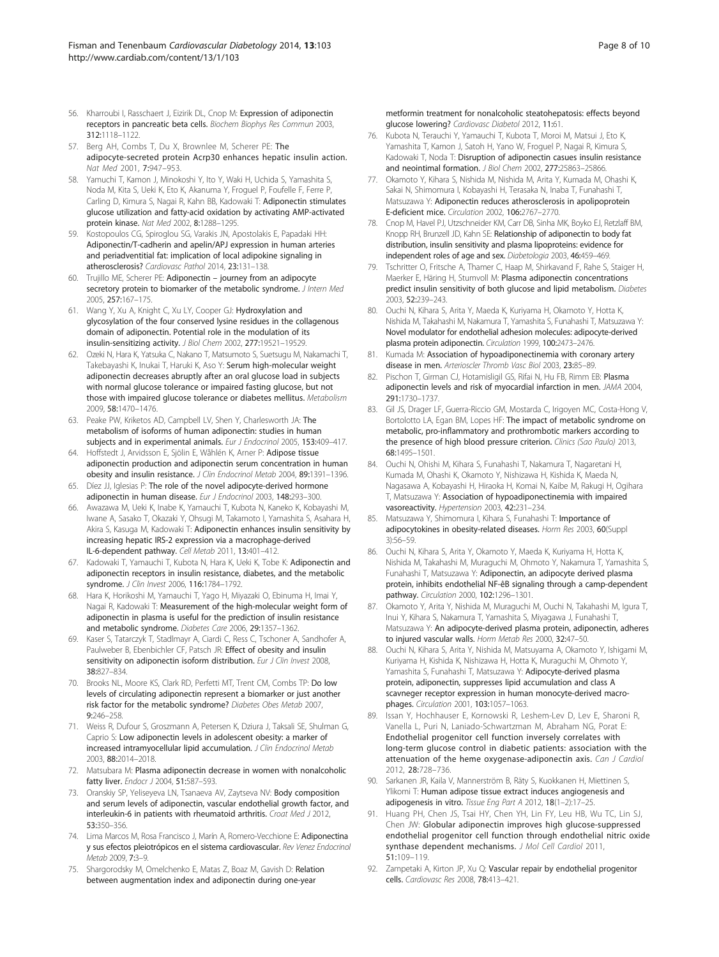- <span id="page-7-0"></span>56. Kharroubi I, Rasschaert J, Eizirik DL, Cnop M: Expression of adiponectin receptors in pancreatic beta cells. Biochem Biophys Res Commun 2003, 312:1118–1122.
- 57. Berg AH, Combs T, Du X, Brownlee M, Scherer PE: The adipocyte-secreted protein Acrp30 enhances hepatic insulin action. Nat Med 2001, 7:947–953.
- 58. Yamuchi T, Kamon J, Minokoshi Y, Ito Y, Waki H, Uchida S, Yamashita S, Noda M, Kita S, Ueki K, Eto K, Akanuma Y, Froguel P, Foufelle F, Ferre P, Carling D, Kimura S, Nagai R, Kahn BB, Kadowaki T: Adiponectin stimulates glucose utilization and fatty-acid oxidation by activating AMP-activated protein kinase. Nat Med 2002, 8:1288–1295.
- 59. Kostopoulos CG, Spiroglou SG, Varakis JN, Apostolakis E, Papadaki HH: Adiponectin/T-cadherin and apelin/APJ expression in human arteries and periadventitial fat: implication of local adipokine signaling in atherosclerosis? Cardiovasc Pathol 2014, 23:131–138.
- 60. Trujillo ME, Scherer PE: Adiponectin journey from an adipocyte secretory protein to biomarker of the metabolic syndrome. J Intern Med 2005, 257:167–175.
- 61. Wang Y, Xu A, Knight C, Xu LY, Cooper GJ: Hydroxylation and glycosylation of the four conserved lysine residues in the collagenous domain of adiponectin. Potential role in the modulation of its insulin-sensitizing activity. J Biol Chem 2002, 277:19521–19529.
- 62. Ozeki N, Hara K, Yatsuka C, Nakano T, Matsumoto S, Suetsugu M, Nakamachi T, Takebayashi K, Inukai T, Haruki K, Aso Y: Serum high-molecular weight adiponectin decreases abruptly after an oral glucose load in subjects with normal glucose tolerance or impaired fasting glucose, but not those with impaired glucose tolerance or diabetes mellitus. Metabolism 2009, 58:1470–1476.
- 63. Peake PW, Kriketos AD, Campbell LV, Shen Y, Charlesworth JA: The metabolism of isoforms of human adiponectin: studies in human subjects and in experimental animals. Eur J Endocrinol 2005, 153:409–417.
- 64. Hoffstedt J, Arvidsson E, Sjölin E, Wåhlén K, Arner P: Adipose tissue adiponectin production and adiponectin serum concentration in human obesity and insulin resistance. J Clin Endocrinol Metab 2004, 89:1391-1396.
- 65. Díez JJ, Iglesias P: The role of the novel adipocyte-derived hormone adiponectin in human disease. Eur J Endocrinol 2003, 148:293-300.
- 66. Awazawa M, Ueki K, Inabe K, Yamauchi T, Kubota N, Kaneko K, Kobayashi M, Iwane A, Sasako T, Okazaki Y, Ohsugi M, Takamoto I, Yamashita S, Asahara H, Akira S, Kasuga M, Kadowaki T: Adiponectin enhances insulin sensitivity by increasing hepatic IRS-2 expression via a macrophage-derived IL-6-dependent pathway. Cell Metab 2011, 13:401–412.
- 67. Kadowaki T, Yamauchi T, Kubota N, Hara K, Ueki K, Tobe K: Adiponectin and adiponectin receptors in insulin resistance, diabetes, and the metabolic syndrome. J Clin Invest 2006, 116:1784–1792.
- 68. Hara K, Horikoshi M, Yamauchi T, Yago H, Miyazaki O, Ebinuma H, Imai Y, Nagai R, Kadowaki T: Measurement of the high-molecular weight form of adiponectin in plasma is useful for the prediction of insulin resistance and metabolic syndrome. Diabetes Care 2006, 29:1357–1362.
- 69. Kaser S, Tatarczyk T, Stadlmayr A, Ciardi C, Ress C, Tschoner A, Sandhofer A, Paulweber B, Ebenbichler CF, Patsch JR: Effect of obesity and insulin sensitivity on adiponectin isoform distribution. Eur J Clin Invest 2008, 38:827–834.
- 70. Brooks NL, Moore KS, Clark RD, Perfetti MT, Trent CM, Combs TP: Do low levels of circulating adiponectin represent a biomarker or just another risk factor for the metabolic syndrome? Diabetes Obes Metab 2007, 9:246–258.
- 71. Weiss R, Dufour S, Groszmann A, Petersen K, Dziura J, Taksali SE, Shulman G, Caprio S: Low adiponectin levels in adolescent obesity: a marker of increased intramyocellular lipid accumulation. J Clin Endocrinol Metab 2003, 88:2014–2018.
- 72. Matsubara M: Plasma adiponectin decrease in women with nonalcoholic fatty liver. Endocr J 2004, 51:587-593.
- 73. Oranskiy SP, Yeliseyeva LN, Tsanaeva AV, Zaytseva NV: Body composition and serum levels of adiponectin, vascular endothelial growth factor, and interleukin-6 in patients with rheumatoid arthritis. Croat Med J 2012, 53:350–356.
- 74. Lima Marcos M, Rosa Francisco J, Marín A, Romero-Vecchione E: Adiponectina y sus efectos pleiotrópicos en el sistema cardiovascular. Rev Venez Endocrinol Metab 2009, 7:3–9.
- 75. Shargorodsky M, Omelchenko E, Matas Z, Boaz M, Gavish D: Relation between augmentation index and adiponectin during one-year

metformin treatment for nonalcoholic steatohepatosis: effects beyond glucose lowering? Cardiovasc Diabetol 2012, 11:61.

- 76. Kubota N, Terauchi Y, Yamauchi T, Kubota T, Moroi M, Matsui J, Eto K, Yamashita T, Kamon J, Satoh H, Yano W, Froguel P, Nagai R, Kimura S, Kadowaki T, Noda T: Disruption of adiponectin casues insulin resistance and neointimal formation. J Biol Chem 2002, 277:25863-25866.
- 77. Okamoto Y, Kihara S, Nishida M, Nishida M, Arita Y, Kumada M, Ohashi K, Sakai N, Shimomura I, Kobayashi H, Terasaka N, Inaba T, Funahashi T, Matsuzawa Y: Adiponectin reduces atherosclerosis in apolipoprotein E-deficient mice. Circulation 2002, 106:2767–2770.
- 78. Cnop M, Havel PJ, Utzschneider KM, Carr DB, Sinha MK, Boyko EJ, Retzlaff BM, Knopp RH, Brunzell JD, Kahn SE: Relationship of adiponectin to body fat distribution, insulin sensitivity and plasma lipoproteins: evidence for independent roles of age and sex. Diabetologia 2003, 46:459–469.
- 79. Tschritter O, Fritsche A, Thamer C, Haap M, Shirkavand F, Rahe S, Staiger H, Maerker E, Häring H, Stumvoll M: Plasma adiponectin concentrations predict insulin sensitivity of both glucose and lipid metabolism. Diabetes 2003, 52:239–243.
- 80. Ouchi N, Kihara S, Arita Y, Maeda K, Kuriyama H, Okamoto Y, Hotta K, Nishida M, Takahashi M, Nakamura T, Yamashita S, Funahashi T, Matsuzawa Y: Novel modulator for endothelial adhesion molecules: adipocyte-derived plasma protein adiponectin. Circulation 1999, 100:2473–2476.
- 81. Kumada M: Association of hypoadiponectinemia with coronary artery disease in men. Arterioscler Thromb Vasc Biol 2003, 23:85–89.
- Pischon T, Girman CJ, Hotamisligil GS, Rifai N, Hu FB, Rimm EB: Plasma adiponectin levels and risk of myocardial infarction in men. JAMA 2004, 291:1730–1737.
- 83. Gil JS, Drager LF, Guerra-Riccio GM, Mostarda C, Irigoyen MC, Costa-Hong V, Bortolotto LA, Egan BM, Lopes HF: The impact of metabolic syndrome on metabolic, pro-inflammatory and prothrombotic markers according to the presence of high blood pressure criterion. Clinics (Sao Paulo) 2013, 68:1495–1501.
- 84. Ouchi N, Ohishi M, Kihara S, Funahashi T, Nakamura T, Nagaretani H, Kumada M, Ohashi K, Okamoto Y, Nishizawa H, Kishida K, Maeda N, Nagasawa A, Kobayashi H, Hiraoka H, Komai N, Kaibe M, Rakugi H, Ogihara T, Matsuzawa Y: Association of hypoadiponectinemia with impaired vasoreactivity. Hypertension 2003, 42:231–234.
- 85. Matsuzawa Y, Shimomura I, Kihara S, Funahashi T: Importance of adipocytokines in obesity-related diseases. Horm Res 2003, 60(Suppl 3):56–59.
- 86. Ouchi N, Kihara S, Arita Y, Okamoto Y, Maeda K, Kuriyama H, Hotta K, Nishida M, Takahashi M, Muraguchi M, Ohmoto Y, Nakamura T, Yamashita S, Funahashi T, Matsuzawa Y: Adiponectin, an adipocyte derived plasma protein, inhibits endothelial NF-êB signaling through a camp-dependent pathway. Circulation 2000, 102:1296–1301.
- 87. Okamoto Y, Arita Y, Nishida M, Muraguchi M, Ouchi N, Takahashi M, Igura T, Inui Y, Kihara S, Nakamura T, Yamashita S, Miyagawa J, Funahashi T, Matsuzawa Y: An adipocyte-derived plasma protein, adiponectin, adheres to injured vascular walls. Horm Metab Res 2000, 32:47–50.
- 88. Ouchi N, Kihara S, Arita Y, Nishida M, Matsuyama A, Okamoto Y, Ishigami M, Kuriyama H, Kishida K, Nishizawa H, Hotta K, Muraguchi M, Ohmoto Y, Yamashita S, Funahashi T, Matsuzawa Y: Adipocyte-derived plasma protein, adiponectin, suppresses lipid accumulation and class A scavneger receptor expression in human monocyte-derived macrophages. Circulation 2001, 103:1057–1063.
- 89. Issan Y, Hochhauser E, Kornowski R, Leshem-Lev D, Lev E, Sharoni R, Vanella L, Puri N, Laniado-Schwartzman M, Abraham NG, Porat E: Endothelial progenitor cell function inversely correlates with long-term glucose control in diabetic patients: association with the attenuation of the heme oxygenase-adiponectin axis. Can J Cardiol 2012, 28:728–736.
- 90. Sarkanen JR, Kaila V, Mannerström B, Räty S, Kuokkanen H, Miettinen S, Ylikomi T: Human adipose tissue extract induces angiogenesis and adipogenesis in vitro. Tissue Eng Part A 2012, 18(1-2):17-25.
- 91. Huang PH, Chen JS, Tsai HY, Chen YH, Lin FY, Leu HB, Wu TC, Lin SJ, Chen JW: Globular adiponectin improves high glucose-suppressed endothelial progenitor cell function through endothelial nitric oxide synthase dependent mechanisms. J Mol Cell Cardiol 2011, 51:109–119.
- 92. Zampetaki A, Kirton JP, Xu Q: Vascular repair by endothelial progenitor cells. Cardiovasc Res 2008, 78:413–421.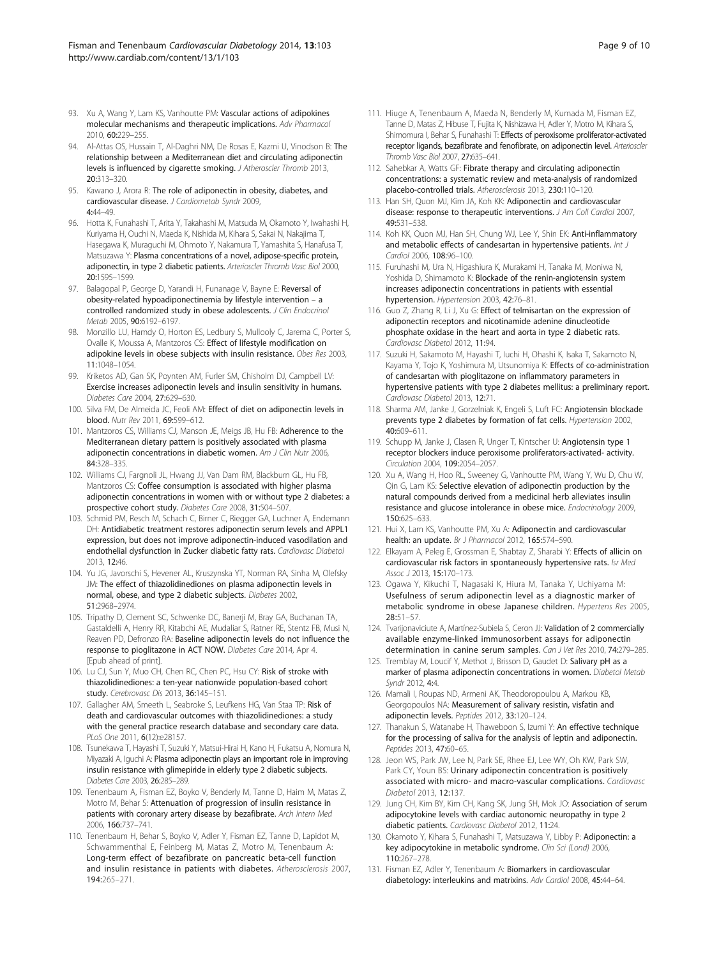- <span id="page-8-0"></span>93. Xu A, Wang Y, Lam KS, Vanhoutte PM: Vascular actions of adipokines molecular mechanisms and therapeutic implications. Adv Pharmacol 2010, 60:229–255.
- 94. Al-Attas OS, Hussain T, Al-Daghri NM, De Rosas E, Kazmi U, Vinodson B: The relationship between a Mediterranean diet and circulating adiponectin levels is influenced by cigarette smoking. J Atheroscler Thromb 2013, 20:313–320.
- 95. Kawano J, Arora R: The role of adiponectin in obesity, diabetes, and cardiovascular disease. J Cardiometab Syndr 2009, 4:44–49.
- 96. Hotta K, Funahashi T, Arita Y, Takahashi M, Matsuda M, Okamoto Y, Iwahashi H, Kuriyama H, Ouchi N, Maeda K, Nishida M, Kihara S, Sakai N, Nakajima T, Hasegawa K, Muraguchi M, Ohmoto Y, Nakamura T, Yamashita S, Hanafusa T, Matsuzawa Y: Plasma concentrations of a novel, adipose-specific protein, adiponectin, in type 2 diabetic patients. Arterioscler Thromb Vasc Biol 2000, 20:1595–1599.
- 97. Balagopal P, George D, Yarandi H, Funanage V, Bayne E: Reversal of obesity-related hypoadiponectinemia by lifestyle intervention – a controlled randomized study in obese adolescents. J Clin Endocrinol Metab 2005, 90:6192–6197.
- 98. Monzillo LU, Hamdy O, Horton ES, Ledbury S, Mullooly C, Jarema C, Porter S, Ovalle K, Moussa A, Mantzoros CS: Effect of lifestyle modification on adipokine levels in obese subjects with insulin resistance. Obes Res 2003, 11:1048–1054.
- 99. Kriketos AD, Gan SK, Poynten AM, Furler SM, Chisholm DJ, Campbell LV: Exercise increases adiponectin levels and insulin sensitivity in humans. Diabetes Care 2004, 27:629–630.
- 100. Silva FM, De Almeida JC, Feoli AM: Effect of diet on adiponectin levels in blood. Nutr Rev 2011, 69:599–612.
- 101. Mantzoros CS, Williams CJ, Manson JE, Meigs JB, Hu FB: Adherence to the Mediterranean dietary pattern is positively associated with plasma adiponectin concentrations in diabetic women. Am J Clin Nutr 2006, 84:328–335.
- 102. Williams CJ, Fargnoli JL, Hwang JJ, Van Dam RM, Blackburn GL, Hu FB, Mantzoros CS: Coffee consumption is associated with higher plasma adiponectin concentrations in women with or without type 2 diabetes: a prospective cohort study. Diabetes Care 2008, 31:504–507.
- 103. Schmid PM, Resch M, Schach C, Birner C, Riegger GA, Luchner A, Endemann DH: Antidiabetic treatment restores adiponectin serum levels and APPL1 expression, but does not improve adiponectin-induced vasodilation and endothelial dysfunction in Zucker diabetic fatty rats. Cardiovasc Diabetol 2013, 12:46.
- 104. Yu JG, Javorschi S, Hevener AL, Kruszynska YT, Norman RA, Sinha M, Olefsky JM: The effect of thiazolidinediones on plasma adiponectin levels in normal, obese, and type 2 diabetic subjects. Diabetes 2002, 51:2968–2974.
- 105. Tripathy D, Clement SC, Schwenke DC, Banerji M, Bray GA, Buchanan TA, Gastaldelli A, Henry RR, Kitabchi AE, Mudaliar S, Ratner RE, Stentz FB, Musi N, Reaven PD, Defronzo RA: Baseline adiponectin levels do not influence the response to pioglitazone in ACT NOW. Diabetes Care 2014, Apr 4. [Epub ahead of print].
- 106. Lu CJ, Sun Y, Muo CH, Chen RC, Chen PC, Hsu CY: Risk of stroke with thiazolidinediones: a ten-year nationwide population-based cohort study. Cerebrovasc Dis 2013, 36:145–151.
- 107. Gallagher AM, Smeeth L, Seabroke S, Leufkens HG, Van Staa TP: Risk of death and cardiovascular outcomes with thiazolidinediones: a study with the general practice research database and secondary care data. PLoS One 2011, 6(12):e28157.
- 108. Tsunekawa T, Hayashi T, Suzuki Y, Matsui-Hirai H, Kano H, Fukatsu A, Nomura N, Miyazaki A, Iguchi A: Plasma adiponectin plays an important role in improving insulin resistance with glimepiride in elderly type 2 diabetic subjects. Diabetes Care 2003, 26:285–289.
- 109. Tenenbaum A, Fisman EZ, Boyko V, Benderly M, Tanne D, Haim M, Matas Z, Motro M, Behar S: Attenuation of progression of insulin resistance in patients with coronary artery disease by bezafibrate. Arch Intern Med 2006, 166:737–741.
- 110. Tenenbaum H, Behar S, Boyko V, Adler Y, Fisman EZ, Tanne D, Lapidot M, Schwammenthal E, Feinberg M, Matas Z, Motro M, Tenenbaum A: Long-term effect of bezafibrate on pancreatic beta-cell function and insulin resistance in patients with diabetes. Atherosclerosis 2007, 194:265–271.
- 111. Hiuge A, Tenenbaum A, Maeda N, Benderly M, Kumada M, Fisman EZ, Tanne D, Matas Z, Hibuse T, Fujita K, Nishizawa H, Adler Y, Motro M, Kihara S, Shimomura I, Behar S, Funahashi T: Effects of peroxisome proliferator-activated receptor ligands, bezafibrate and fenofibrate, on adiponectin level. Arterioscler Thromb Vasc Biol 2007, 27:635–641.
- 112. Sahebkar A, Watts GF: Fibrate therapy and circulating adiponectin concentrations: a systematic review and meta-analysis of randomized placebo-controlled trials. Atherosclerosis 2013, 230:110-120.
- 113. Han SH, Quon MJ, Kim JA, Koh KK: Adiponectin and cardiovascular disease: response to therapeutic interventions. J Am Coll Cardiol 2007, 49:531–538.
- 114. Koh KK, Quon MJ, Han SH, Chung WJ, Lee Y, Shin EK: Anti-inflammatory and metabolic effects of candesartan in hypertensive patients. Int J Cardiol 2006, 108:96–100.
- 115. Furuhashi M, Ura N, Higashiura K, Murakami H, Tanaka M, Moniwa N, Yoshida D, Shimamoto K: Blockade of the renin-angiotensin system increases adiponectin concentrations in patients with essential hypertension. Hypertension 2003, 42:76–81.
- 116. Guo Z, Zhang R, Li J, Xu G: Effect of telmisartan on the expression of adiponectin receptors and nicotinamide adenine dinucleotide phosphate oxidase in the heart and aorta in type 2 diabetic rats. Cardiovasc Diabetol 2012, 11:94.
- 117. Suzuki H, Sakamoto M, Hayashi T, Iuchi H, Ohashi K, Isaka T, Sakamoto N, Kayama Y, Tojo K, Yoshimura M, Utsunomiya K: Effects of co-administration of candesartan with pioglitazone on inflammatory parameters in hypertensive patients with type 2 diabetes mellitus: a preliminary report. Cardiovasc Diabetol 2013, 12:71.
- 118. Sharma AM, Janke J, Gorzelniak K, Engeli S, Luft FC: Angiotensin blockade prevents type 2 diabetes by formation of fat cells. Hypertension 2002, 40:609–611.
- 119. Schupp M, Janke J, Clasen R, Unger T, Kintscher U: Angiotensin type 1 receptor blockers induce peroxisome proliferators-activated- activity. Circulation 2004, 109:2054–2057.
- 120. Xu A, Wang H, Hoo RL, Sweeney G, Vanhoutte PM, Wang Y, Wu D, Chu W, Qin G, Lam KS: Selective elevation of adiponectin production by the natural compounds derived from a medicinal herb alleviates insulin resistance and glucose intolerance in obese mice. Endocrinology 2009, 150:625–633.
- 121. Hui X, Lam KS, Vanhoutte PM, Xu A: Adiponectin and cardiovascular health: an update. Br J Pharmacol 2012, 165:574-590.
- 122. Elkayam A, Peleg E, Grossman E, Shabtay Z, Sharabi Y: Effects of allicin on cardiovascular risk factors in spontaneously hypertensive rats. Isr Med Assoc J 2013, 15:170-173.
- 123. Ogawa Y, Kikuchi T, Nagasaki K, Hiura M, Tanaka Y, Uchiyama M: Usefulness of serum adiponectin level as a diagnostic marker of metabolic syndrome in obese Japanese children. Hypertens Res 2005,  $28.51 - 57$
- 124. Tvarijonaviciute A, Martínez-Subiela S, Ceron JJ: Validation of 2 commercially available enzyme-linked immunosorbent assays for adiponectin determination in canine serum samples. Can J Vet Res 2010, 74:279-285.
- 125. Tremblay M, Loucif Y, Methot J, Brisson D, Gaudet D: Salivary pH as a marker of plasma adiponectin concentrations in women. Diabetol Metab Syndr 2012, 4:4.
- 126. Mamali I, Roupas ND, Armeni AK, Theodoropoulou A, Markou KB, Georgopoulos NA: Measurement of salivary resistin, visfatin and adiponectin levels. Peptides 2012, 33:120–124.
- 127. Thanakun S, Watanabe H, Thaweboon S, Izumi Y: An effective technique for the processing of saliva for the analysis of leptin and adiponectin. Peptides 2013, 47:60–65.
- 128. Jeon WS, Park JW, Lee N, Park SE, Rhee EJ, Lee WY, Oh KW, Park SW, Park CY, Youn BS: Urinary adiponectin concentration is positively associated with micro- and macro-vascular complications. Cardiovasc Diabetol 2013, 12:137.
- 129. Jung CH, Kim BY, Kim CH, Kang SK, Jung SH, Mok JO: Association of serum adipocytokine levels with cardiac autonomic neuropathy in type 2 diabetic patients. Cardiovasc Diabetol 2012, 11:24.
- 130. Okamoto Y, Kihara S, Funahashi T, Matsuzawa Y, Libby P: Adiponectin: a key adipocytokine in metabolic syndrome. Clin Sci (Lond) 2006, 110:267–278.
- 131. Fisman EZ, Adler Y, Tenenbaum A: Biomarkers in cardiovascular diabetology: interleukins and matrixins. Adv Cardiol 2008, 45:44–64.